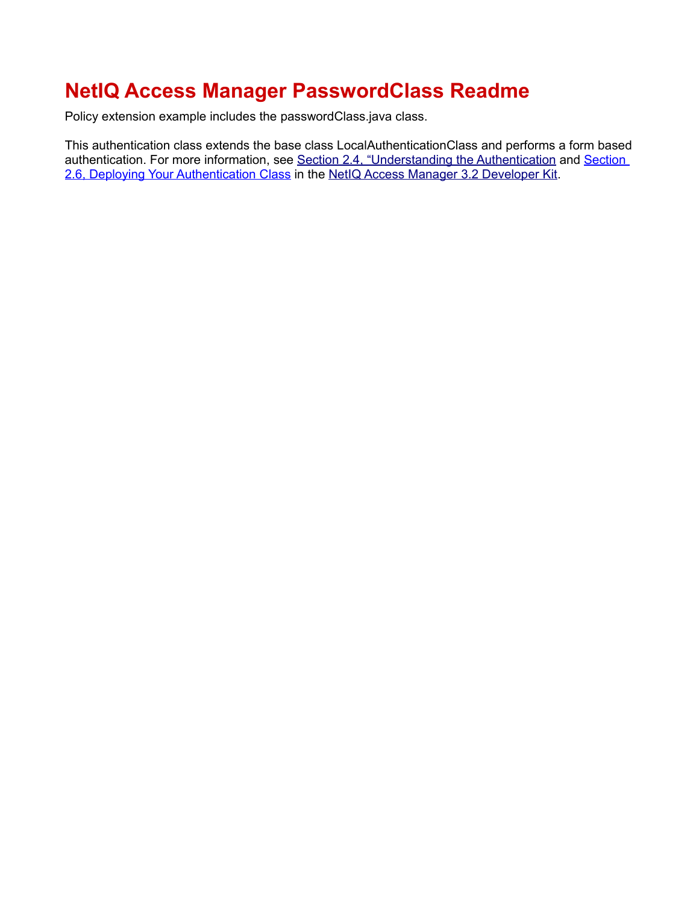## **NetIQ Access Manager PasswordClass Readme**

Policy extension example includes the passwordClass.java class.

This authentication class extends the base class LocalAuthenticationClass and performs a form based authentication. For more information, see [Section 2.4, "Understanding the Authentication](http://www.novell.com/documentation/developer/nacm32/nacm_enu/data/b96adnj.html) and [Section](http://www.novell.com/documentation/developer/nacm31/nacm_enu/data/bb8bwzi.html) [2.6, Deploying Your Authentication Class](http://www.novell.com/documentation/developer/nacm31/nacm_enu/data/bb8bwzi.html) in the [NetIQ Access Manager 3.2 Developer Kit.](http://www.novell.com/documentation/developer/nacm32/nacm_enu/?page=/documentation/developer/nacm32/nacm_enu/data/bookinfo.html)